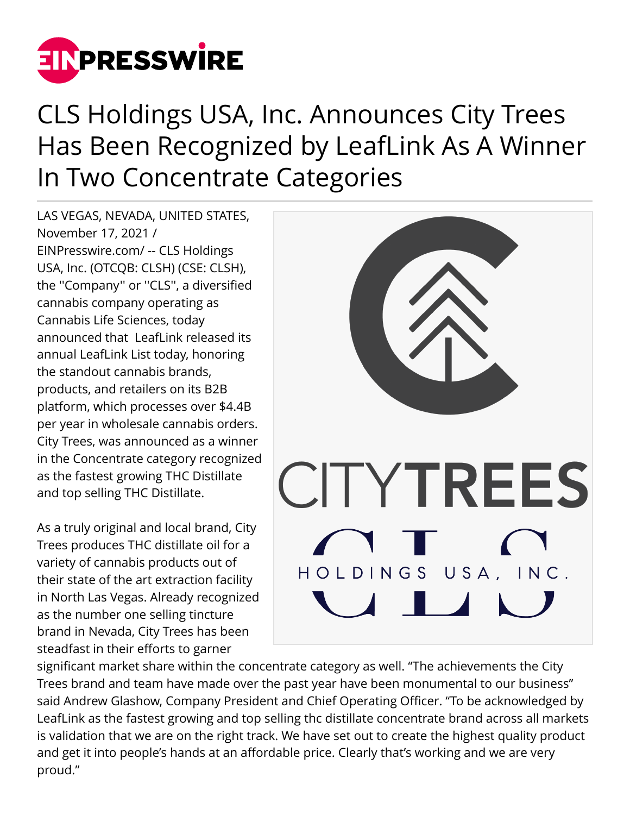

## CLS Holdings USA, Inc. Announces City Trees Has Been Recognized by LeafLink As A Winner In Two Concentrate Categories

LAS VEGAS, NEVADA, UNITED STATES, November 17, 2021 / [EINPresswire.com](http://www.einpresswire.com)/ -- CLS Holdings USA, Inc. (OTCQB: CLSH) (CSE: CLSH), the ''Company'' or ''CLS'', a diversified cannabis company operating as Cannabis Life Sciences, today announced that LeafLink released its annual LeafLink List today, honoring the standout cannabis brands, products, and retailers on its B2B platform, which processes over \$4.4B per year in wholesale cannabis orders. City Trees, was announced as a winner in the Concentrate category recognized as the fastest growing THC Distillate and top selling THC Distillate.

As a truly original and local brand, City Trees produces THC distillate oil for a variety of cannabis products out of their state of the art extraction facility in North Las Vegas. Already recognized as the number one selling tincture brand in Nevada, City Trees has been steadfast in their efforts to garner



significant market share within the concentrate category as well. "The achievements the City Trees brand and team have made over the past year have been monumental to our business" said Andrew Glashow, Company President and Chief Operating Officer. "To be acknowledged by LeafLink as the fastest growing and top selling thc distillate concentrate brand across all markets is validation that we are on the right track. We have set out to create the highest quality product and get it into people's hands at an affordable price. Clearly that's working and we are very proud."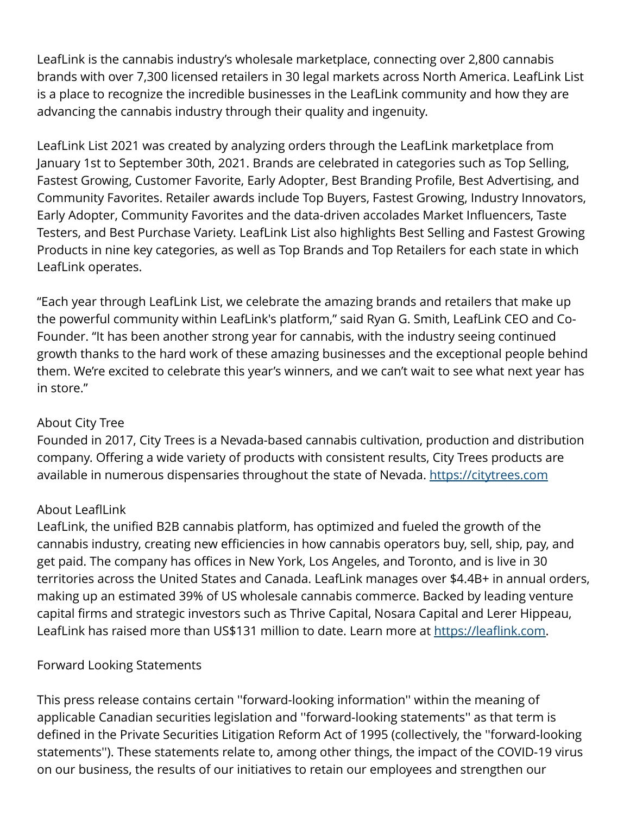LeafLink is the cannabis industry's wholesale marketplace, connecting over 2,800 cannabis brands with over 7,300 licensed retailers in 30 legal markets across North America. LeafLink List is a place to recognize the incredible businesses in the LeafLink community and how they are advancing the cannabis industry through their quality and ingenuity.

LeafLink List 2021 was created by analyzing orders through the LeafLink marketplace from January 1st to September 30th, 2021. Brands are celebrated in categories such as Top Selling, Fastest Growing, Customer Favorite, Early Adopter, Best Branding Profile, Best Advertising, and Community Favorites. Retailer awards include Top Buyers, Fastest Growing, Industry Innovators, Early Adopter, Community Favorites and the data-driven accolades Market Influencers, Taste Testers, and Best Purchase Variety. LeafLink List also highlights Best Selling and Fastest Growing Products in nine key categories, as well as Top Brands and Top Retailers for each state in which LeafLink operates.

"Each year through LeafLink List, we celebrate the amazing brands and retailers that make up the powerful community within LeafLink's platform," said Ryan G. Smith, LeafLink CEO and Co-Founder. "It has been another strong year for cannabis, with the industry seeing continued growth thanks to the hard work of these amazing businesses and the exceptional people behind them. We're excited to celebrate this year's winners, and we can't wait to see what next year has in store."

## About City Tree

Founded in 2017, City Trees is a Nevada-based cannabis cultivation, production and distribution company. Offering a wide variety of products with consistent results, City Trees products are available in numerous dispensaries throughout the state of Nevada. <https://citytrees.com>

## About LeaflLink

LeafLink, the unified B2B cannabis platform, has optimized and fueled the growth of the cannabis industry, creating new efficiencies in how cannabis operators buy, sell, ship, pay, and get paid. The company has offices in New York, Los Angeles, and Toronto, and is live in 30 territories across the United States and Canada. LeafLink manages over \$4.4B+ in annual orders, making up an estimated 39% of US wholesale cannabis commerce. Backed by leading venture capital firms and strategic investors such as Thrive Capital, Nosara Capital and Lerer Hippeau, LeafLink has raised more than US\$131 million to date. Learn more at<https://leaflink.com>.

## Forward Looking Statements

This press release contains certain ''forward-looking information'' within the meaning of applicable Canadian securities legislation and ''forward-looking statements'' as that term is defined in the Private Securities Litigation Reform Act of 1995 (collectively, the ''forward-looking statements''). These statements relate to, among other things, the impact of the COVID-19 virus on our business, the results of our initiatives to retain our employees and strengthen our